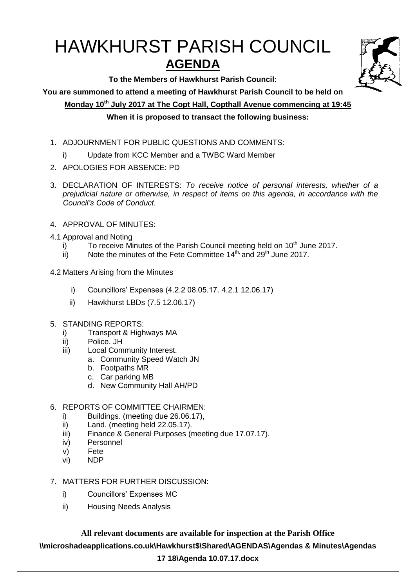# HAWKHURST PARISH COUNCIL **AGENDA**

**To the Members of Hawkhurst Parish Council:**

**You are summoned to attend a meeting of Hawkhurst Parish Council to be held on**

**Monday 10th July 2017 at The Copt Hall, Copthall Avenue commencing at 19:45 When it is proposed to transact the following business:**

- 1. ADJOURNMENT FOR PUBLIC QUESTIONS AND COMMENTS:
	- i) Update from KCC Member and a TWBC Ward Member
- 2. APOLOGIES FOR ABSENCE: PD
- 3. DECLARATION OF INTERESTS: *To receive notice of personal interests, whether of a prejudicial nature or otherwise, in respect of items on this agenda, in accordance with the Council's Code of Conduct.*
- 4. APPROVAL OF MINUTES:
- 4.1 Approval and Noting
	- i) To receive Minutes of the Parish Council meeting held on  $10<sup>th</sup>$  June 2017.
	- ii) Note the minutes of the Fete Committee  $14<sup>th</sup>$ , and  $29<sup>th</sup>$  June 2017.
- 4.2 Matters Arising from the Minutes
	- i) Councillors' Expenses (4.2.2 08.05.17. 4.2.1 12.06.17)
	- ii) Hawkhurst LBDs (7.5 12.06.17)
- 5. STANDING REPORTS:
	- i) Transport & Highways MA
	- ii) Police. JH
	- iii) Local Community Interest.
		- a. Community Speed Watch JN
		- b. Footpaths MR
		- c. Car parking MB
		- d. New Community Hall AH/PD
- 6. REPORTS OF COMMITTEE CHAIRMEN:
	- i) Buildings. (meeting due 26.06.17),
	- ii) Land. (meeting held 22.05.17).
	- iii) Finance & General Purposes (meeting due 17.07.17).
	- iv) Personnel
	- v) Fete
	- vi) NDP
- 7. MATTERS FOR FURTHER DISCUSSION:
	- i) Councillors' Expenses MC
	- ii) Housing Needs Analysis

**All relevant documents are available for inspection at the Parish Office \\microshadeapplications.co.uk\Hawkhurst\$\Shared\AGENDAS\Agendas & Minutes\Agendas** 

## **17 18\Agenda 10.07.17.docx**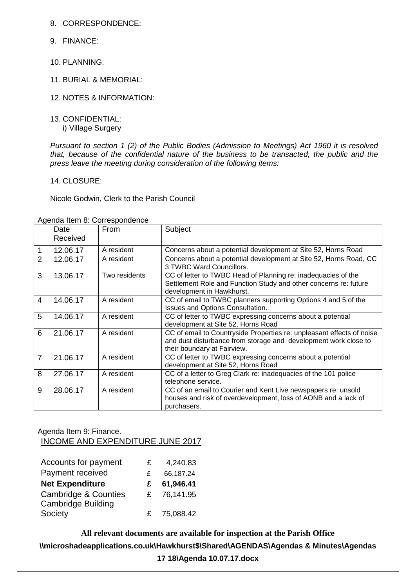8. CORRESPONDENCE:

- 9. FINANCE:
- 10. PLANNING:
- 11. BURIAL & MEMORIAL:
- 12. NOTES & INFORMATION:
- 13. CONFIDENTIAL:
	- i) Village Surgery

*Pursuant to section 1 (2) of the Public Bodies (Admission to Meetings) Act 1960 it is resolved that, because of the confidential nature of the business to be transacted, the public and the press leave the meeting during consideration of the following items:*

14. CLOSURE:

Nicole Godwin, Clerk to the Parish Council

|                | Date<br>Received | From          | Subject                                                                                                                                                                 |
|----------------|------------------|---------------|-------------------------------------------------------------------------------------------------------------------------------------------------------------------------|
| 1              | 12.06.17         | A resident    | Concerns about a potential development at Site 52, Horns Road                                                                                                           |
| $\overline{2}$ | 12.06.17         | A resident    | Concerns about a potential development at Site 52, Horns Road, CC<br>3 TWBC Ward Councillors.                                                                           |
| 3              | 13.06.17         | Two residents | CC of letter to TWBC Head of Planning re: inadequacies of the<br>Settlement Role and Function Study and other concerns re: future<br>development in Hawkhurst.          |
| 4              | 14.06.17         | A resident    | CC of email to TWBC planners supporting Options 4 and 5 of the<br>Issues and Options Consultation.                                                                      |
| 5              | 14.06.17         | A resident    | CC of letter to TWBC expressing concerns about a potential<br>development at Site 52, Horns Road                                                                        |
| 6              | 21.06.17         | A resident    | CC of email to Countryside Properties re: unpleasant effects of noise<br>and dust disturbance from storage and development work close to<br>their boundary at Fairview. |
| 7              | 21.06.17         | A resident    | CC of letter to TWBC expressing concerns about a potential<br>development at Site 52, Horns Road                                                                        |
| 8              | 27.06.17         | A resident    | CC of a letter to Greg Clark re: inadequacies of the 101 police<br>telephone service.                                                                                   |
| 9              | 28.06.17         | A resident    | CC of an email to Courier and Kent Live newspapers re: unsold<br>houses and risk of overdevelopment, loss of AONB and a lack of<br>purchasers.                          |

Agenda Item 8: Correspondence

Agenda Item 9: Finance.

INCOME AND EXPENDITURE JUNE 2017

| Accounts for payment                                  | £  | 4,240.83  |
|-------------------------------------------------------|----|-----------|
| Payment received                                      | £  | 66,187.24 |
| <b>Net Expenditure</b>                                | £  | 61,946.41 |
| <b>Cambridge &amp; Counties</b><br>Cambridge Building | £. | 76,141.95 |
| Society                                               | £  | 75,088.42 |

**All relevant documents are available for inspection at the Parish Office \\microshadeapplications.co.uk\Hawkhurst\$\Shared\AGENDAS\Agendas & Minutes\Agendas 17 18\Agenda 10.07.17.docx**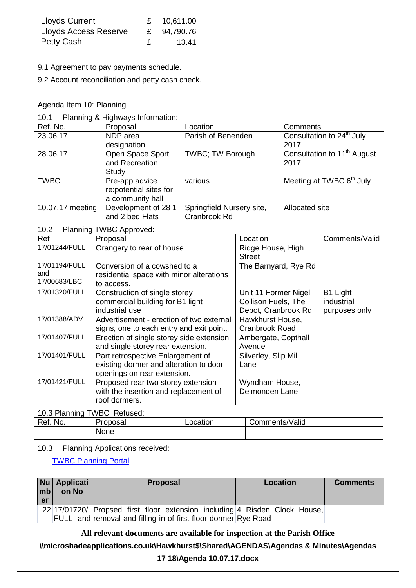| Lloyds Current        |   | £ 10,611.00 |
|-----------------------|---|-------------|
| Lloyds Access Reserve |   | £ 94,790.76 |
| <b>Petty Cash</b>     | £ | 13.41       |

9.1 Agreement to pay payments schedule.

9.2 Account reconciliation and petty cash check.

#### Agenda Item 10: Planning

10.1 Planning & Highways Information:

| Ref. No.         | Proposal               | Location                  | Comments                                           |
|------------------|------------------------|---------------------------|----------------------------------------------------|
| 23.06.17         | NDP area               | Parish of Benenden        | Consultation to 24 <sup>th</sup> July              |
|                  | designation            |                           | 2017                                               |
| 28.06.17         | Open Space Sport       | <b>TWBC</b> ; TW Borough  | Consultation to 1 <sup>1<sup>th</sup> August</sup> |
|                  | and Recreation         |                           | 2017                                               |
|                  | Study                  |                           |                                                    |
| <b>TWBC</b>      | Pre-app advice         | various                   | Meeting at TWBC 6 <sup>th</sup> July               |
|                  | re:potential sites for |                           |                                                    |
|                  | a community hall       |                           |                                                    |
| 10.07.17 meeting | Development of 28 1    | Springfield Nursery site, | Allocated site                                     |
|                  | and 2 bed Flats        | Cranbrook Rd              |                                                    |

## 10.2 Planning TWBC Approved:

| Ref                                  | Proposal                                                                                                   | Location                                                           | Comments/Valid                          |
|--------------------------------------|------------------------------------------------------------------------------------------------------------|--------------------------------------------------------------------|-----------------------------------------|
| 17/01244/FULL                        | Orangery to rear of house                                                                                  | Ridge House, High<br><b>Street</b>                                 |                                         |
| 17/01194/FULL<br>and<br>17/00683/LBC | Conversion of a cowshed to a<br>residential space with minor alterations<br>to access.                     | The Barnyard, Rye Rd                                               |                                         |
| 17/01320/FULL                        | Construction of single storey<br>commercial building for B1 light<br>industrial use                        | Unit 11 Former Nigel<br>Collison Fuels, The<br>Depot, Cranbrook Rd | B1 Light<br>industrial<br>purposes only |
| 17/01388/ADV                         | Advertisement - erection of two external<br>signs, one to each entry and exit point.                       | Hawkhurst House,<br>Cranbrook Road                                 |                                         |
| 17/01407/FULL                        | Erection of single storey side extension<br>and single storey rear extension.                              | Ambergate, Copthall<br>Avenue                                      |                                         |
| 17/01401/FULL                        | Part retrospective Enlargement of<br>existing dormer and alteration to door<br>openings on rear extension. | Silverley, Slip Mill<br>Lane                                       |                                         |
| 17/01421/FULL                        | Proposed rear two storey extension<br>with the insertion and replacement of<br>roof dormers.               | Wyndham House,<br>Delmonden Lane                                   |                                         |

10.3 Planning TWBC Refused:

| Ref.<br>No. | Proposal    | Location | Comments/Valid |
|-------------|-------------|----------|----------------|
|             | <b>None</b> |          |                |

#### 10.3 Planning Applications received:

[TWBC Planning Portal](http://www.tunbridgewells.gov.uk/residents/planning/planning-application-search)

| mbl<br>er | Nu   Applicati  <br>on No | <b>Proposal</b>                                                            | Location | <b>Comments</b> |
|-----------|---------------------------|----------------------------------------------------------------------------|----------|-----------------|
|           |                           | 22 17/01720/ Propsed first floor extension including 4 Risden Clock House, |          |                 |
|           |                           | FULL and removal and filling in of first floor dormer Rye Road             |          |                 |

**All relevant documents are available for inspection at the Parish Office**

**\\microshadeapplications.co.uk\Hawkhurst\$\Shared\AGENDAS\Agendas & Minutes\Agendas** 

## **17 18\Agenda 10.07.17.docx**